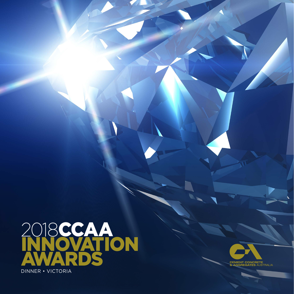

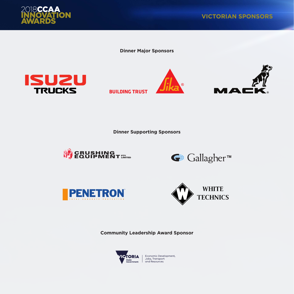

**Dinner Major Sponsors**



**BUILDING TRUST** 





**Dinner Supporting Sponsors**









**Community Leadership Award Sponsor**

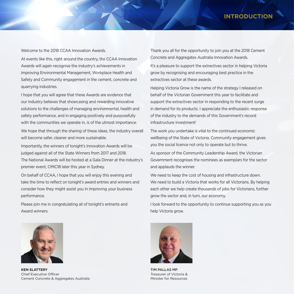# **INTRODUCTIO**

Welcome to the 2018 CCAA Innovation Awards.

At events like this, right around the country, the CCAA Innovation Awards will again recognise the industry's achievements in improving Environmental Management, Workplace Health and Safety and Community engagement in the cement, concrete and quarrying industries.

I hope that you will agree that these Awards are evidence that our industry believes that showcasing and rewarding innovative solutions to the challenges of managing environmental, health and safety performance, and in engaging positively and purposefully with the communities we operate in, is of the utmost importance. We hope that through the sharing of these ideas, the industry overall will become safer, cleaner and more sustainable.

Importantly, the winners of tonight's Innovation Awards will be judged against all of the State Winners from 2017 and 2018. The National Awards will be hosted at a Gala Dinner at the industry's premier event, CMIC18 later this year in Sydney.

On behalf of CCAA, I hope that you will enjoy this evening and take the time to reflect on tonight's award entries and winners and consider how they might assist you in improving your business performance.

Please join me in congratulating all of tonight's entrants and Award winners.



**KEN SLATTERY** Chief Executive Officer Cement Concrete & Aggregates Australia

Thank you all for the opportunity to join you at the 2018 Cement Concrete and Aggregates Australia Innovation Awards.

It's a pleasure to support the extractives sector in helping Victoria grow by recognising and encouraging best practice in the extractives sector at these awards.

Helping Victoria Grow is the name of the strategy I released on behalf of the Victorian Government this year to facilitate and support the extractives sector in responding to the recent surge in demand for its products. I appreciate the enthusiastic response of the industry to the demands of this Government's record infrastructure investment!

The work you undertake is vital to the continued economic wellbeing of the State of Victoria. Community engagement gives you the social licence not only to operate but to thrive.

As sponsor of the Community Leadership Award, the Victorian Government recognises the nominees as exemplars for the sector and applauds the winner.

We need to keep the cost of housing and infrastructure down. We need to build a Victoria that works for all Victorians. By helping each other we help create thousands of jobs for Victorians, further grow the sector and, in turn, our economy.

I look forward to the opportunity to continue supporting you as you help Victoria grow.



TIM PALLAS MP Treasurer of Victoria & Minister for Resources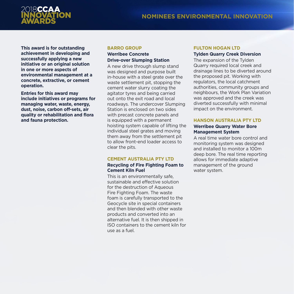

**This award is for outstanding achievement in developing and successfully applying a new initiative or an original solution in one or more aspects of environmental management at a concrete, extractive, or cement operation.** 

**Entries for this award may include initiatives or programs for managing water, waste, energy, dust, noise, carbon off-sets, air quality or rehabilitation and flora and fauna protection.**

#### **BARRO GROUP**

# **Werribee Concrete Drive-over Slumping Station**

A new drive through slump stand was designed and purpose built in-house with a steel grate over the waste settlement pit, stopping the cement water slurry coating the agitator tyres and being carried out onto the exit road and local roadways. The undercover Slumping Station is enclosed on two sides with precast concrete panels and is equipped with a permanent hoisting system capable of lifting the individual steel grates and moving them away from the settlement pit to allow front-end loader access to clear the pits.

# **CEMENT AUSTRALIA PTY LTD**

# **Recycling of Fire Fighting Foam to Cement Kiln Fuel**

This is an environmentally safe, sustainable and effective solution for the destruction of Aqueous Fire Fighting Foam. The waste foam is carefully transported to the Geocycle site in special containers and then blended with other waste products and converted into an alternative fuel. It is then shipped in ISO containers to the cement kiln for use as a fuel.

# **FULTON HOGAN LTD**

# **Tylden Quarry Creek Diversion**

The expansion of the Tylden Quarry required local creek and drainage lines to be diverted around the proposed pit. Working with regulators, the local catchment authorities, community groups and neighbours, the Work Plan Variation was approved and the creek was diverted successfully with minimal impact on the environment.

# **HANSON AUSTRALIA PTY LTD**

# **Werribee Quarry Water Bore Management System**

A real time water bore control and monitoring system was designed and installed to monitor a 100m deep bore. The real time reporting allows for immediate adaptive management of the ground water system.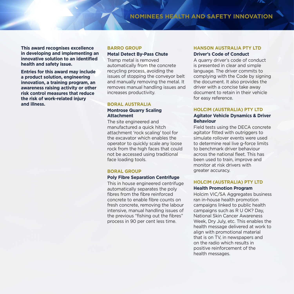**This award recognises excellence in developing and implementing an innovative solution to an identified health and safety issue.**

**Entries for this award may include a product solution, engineering innovation, a training program, an awareness raising activity or other risk control measures that reduce the risk of work-related injury and illness.** 

#### **BARRO GROUP**

# **Metal Detect By-Pass Chute**

Tramp metal is removed automatically from the concrete recycling process, avoiding the issues of stopping the conveyor belt and manually removing the metal. It removes manual handling issues and increases productivity.

#### **BORAL AUSTRALIA**

#### **Montrose Quarry Scaling Attachment**

The site engineered and manufactured a quick hitch attachment 'rock scaling' tool for the excavator which enables the operator to quickly scale any loose rock from the high faces that could not be accessed using traditional face loading tools.

#### **BORAL GROUP**

#### **Poly Fibre Separation Centrifuge**

This in house engineered centrifuge automatically separates the poly fibres from the fibre reinforced concrete to enable fibre counts on fresh concrete, removing the labour intensive, manual handling issues of the previous "fishing out the fibres" process in 90 per cent less time.

# **HANSON AUSTRALIA PTY LTD Driver's Code of Conduct**

A quarry driver's code of conduct is presented in clear and simple language. The driver commits to complying with the Code by signing the document. It also provides the driver with a concise take away document to retain in their vehicle for easy reference.

#### **HOLCIM (AUSTRALIA) PTY LTD**

#### **Agitator Vehicle Dynamics & Driver Behaviour**

Field tests using the DECA concrete agitator fitted with outriggers to simulate rollover events were used to determine real live g-force limits to benchmark driver behaviour across the national fleet. This has been used to train, improve and monitor at risk drivers with greater accuracy.

# **HOLCIM (AUSTRALIA) PTY LTD**

# **Health Promotion Program**

Holcim VIC/SA Aggregates business ran in-house health promotion campaigns linked to public health campaigns such as R U OK? Day, National Skin Cancer Awareness Week, Dry July, etc. This enables the health message delivered at work to align with promotional material that is on TV, in newspapers and on the radio which results in positive reinforcement of the health messages.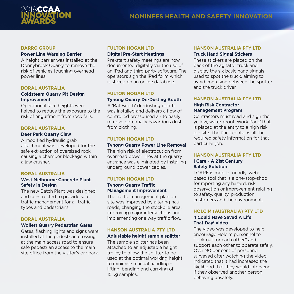

#### **BARRO GROUP**

# **Power Line Warning Barrier**

A height barrier was installed at the Donnybrook Quarry to remove the risk of vehicles touching overhead power lines.

# **BORAL AUSTRALIA**

# **Coldsteam Quarry Pit Design Improvement**

Operational face heights were halved to reduce the exposure to the risk of engulfment from rock falls.

# **BORAL AUSTRALIA**

#### **Deer Park Quarry Claw**

A modified hydraulic grab attachment was developed for the safe extraction of oversized rock causing a chamber blockage within a jaw crusher.

# **BORAL AUSTRALIA**

# **West Melbourne Concrete Plant Safety in Design**

The new Batch Plant was designed and constructed to provide safe traffic management for all traffic types and pedestrians.

# **BORAL AUSTRALIA**

#### **Wollert Quarry Pedestrian Gates**

Gates, flashing lights and signs were installed at the pedestrian crossing at the main access road to ensure safe pedestrian access to the main site office from the visitor's car park.

#### **FULTON HOGAN LTD Digital Pre-Start Meetings**

Pre-start safety meetings are now documented digitally via the use of an iPad and third party software. The operators sign the iPad form which is stored on an online database.

#### **FULTON HOGAN LTD Tynong Quarry De-Dusting Booth**

A 'Bat Booth' de-dusting booth was installed and delivers a flow of controlled pressurised air to easily remove potentially hazardous dust from clothing.

# **FULTON HOGAN LTD**

# **Tynong Quarry Power Line Removal**

The high risk of electrocution from overhead power lines at the quarry entrance was eliminated by installing underground power cables.

# **FULTON HOGAN LTD**

# **Tynong Quarry Traffic Management Improvement**

The traffic management plan on site was improved by altering haul roads, changing the stockpile area, improving major intersections and implementing one way traffic flow.

# **HANSON AUSTRALIA PTY LTD**

# **Adjustable height sample splitter**

The sample splitter has been attached to an adjustable height trolley to allow the splitter to be used at the optimal working height to minimise manual handling lifting, bending and carrying of 15 kg samples.

# **HANSON AUSTRALIA PTY LTD Truck Hand Signal Stickers**

These stickers are placed on the back of the agitator truck and display the six basic hand signals used to spot the truck, aiming to avoid confusion between the spotter and the truck driver.

# **HANSON AUSTRALIA PTY LTD**

#### **High Risk Contractor Management Program**

Contractors must read and sign the yellow, water proof 'Work Pack' that is placed at the entry to a high risk job site. The Pack contains all the required safety information for that particular job.

# **HANSON AUSTRALIA PTY LTD**

#### **I Care - A 21st Century Safety Solution**

I CARE is mobile friendly, webbased tool that is a one-stop-shop for reporting any hazard, risk observation or improvement relating to safety, quality, production, customers and the environment.

# **HOLCIM (AUSTRALIA) PTY LTD**

#### **'I Could Have Saved A Life That Day' video**

The video was developed to help encourage Holcim personnel to "look out for each other" and support each other to operate safely. Over 90 per cent of personnel surveyed after watching the video indicated that it had increased the likelihood that they would intervene if they observed another person behaving unsafely.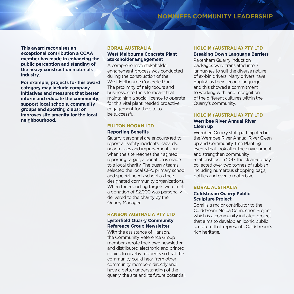# **NOMINEES COMMUNITY LEADERSHIP**

**This award recognises an exceptional contribution a CCAA member has made in enhancing the public perception and standing of the heavy construction materials industry.** 

**For example, projects for this award category may include company initiatives and measures that better inform and educate the community; support local schools, community groups and sporting clubs; or improves site amenity for the local neighbourhood.** 

#### **BORAL AUSTRALIA**

# **West Melbourne Concrete Plant Stakeholder Engagement**

A comprehensive stakeholder engagement process was conducted during the construction of the West Melbourne Concrete Plant. The proximity of neighbours and businesses to the site meant that maintaining a social licence to operate for this vital plant needed proactive engagement for the site to be successful.

# **FULTON HOGAN LTD**

#### **Reporting Benefits**

Quarry personnel are encouraged to report all safety incidents, hazards, near misses and improvements and when the site reaches their agreed reporting target, a donation is made to a local charity. The quarry teams selected the local CFA, primary school and special needs school as their designated community organizations. When the reporting targets were met. a donation of \$2,000 was personally delivered to the charity by the Quarry Manager.

#### **HANSON AUSTRALIA PTY LTD**

# **Lysterfield Quarry Community Reference Group Newsletter**

With the assistance of Hanson, the Community Reference Group members wrote their own newsletter and distributed electronic and printed copies to nearby residents so that the community could hear from other community members directly and have a better understanding of the quarry, the site and its future potential.

# **HOLCIM (AUSTRALIA) PTY LTD**

#### **Breaking Down Language Barriers**

Pakenham Quarry induction packages were translated into 7 languages to suit the diverse nature of ex-bin drivers. Many drivers have English as their second language and this showed a commitment to working with, and recognition of the different cultures within the Quarry's community.

# **HOLCIM (AUSTRALIA) PTY LTD**

#### **Werribee River Annual River Clean up**

Werribee Quarry staff participated in the Werribee River Annual River Clean up and Community Tree Planting events that look after the environment and strengthen community relationships. In 2017 the clean-up day collected over two tonnes of rubbish including numerous shopping bags, bottles and even a motorbike.

# **BORAL AUSTRALIA**

# **Coldstream Quarry Public Sculpture Project**

Boral is a major contributor to the Coldstream Melba Connection Project which is a community initiated project that aims to develop an iconic public sculpture that represents Coldstream's rich heritage.